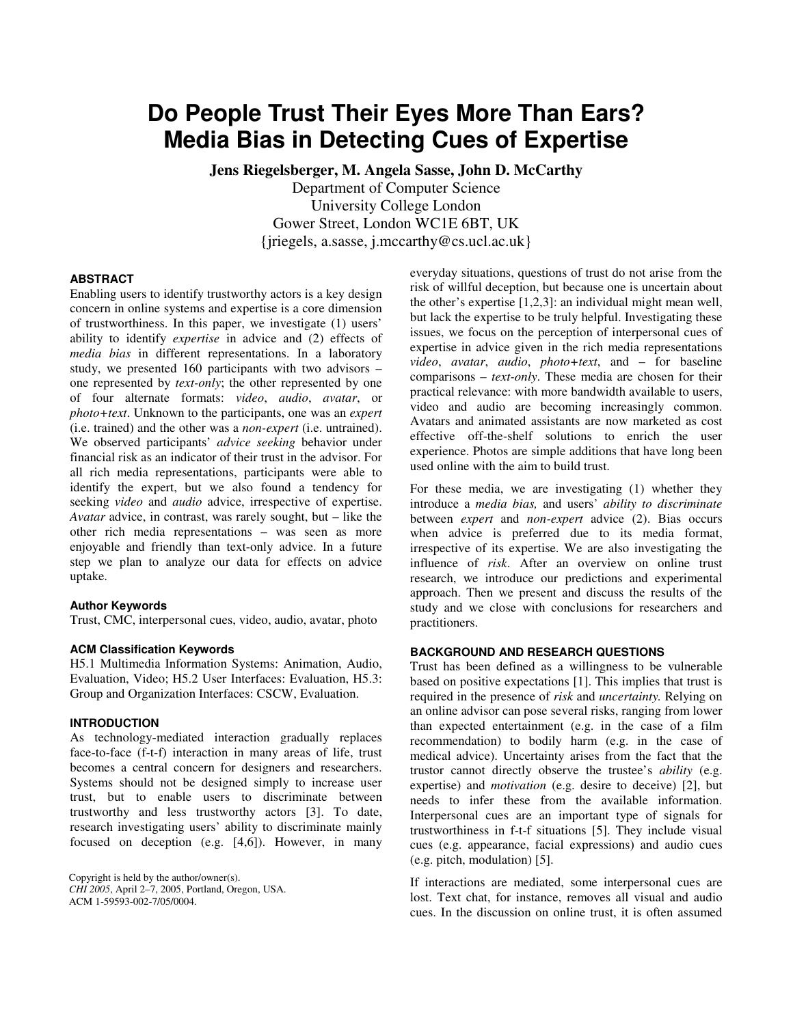# **Do People Trust Their Eyes More Than Ears? Media Bias in Detecting Cues of Expertise**

**Jens Riegelsberger, M. Angela Sasse, John D. McCarthy**  Department of Computer Science University College London Gower Street, London WC1E 6BT, UK {jriegels, a.sasse, j.mccarthy@cs.ucl.ac.uk}

## **ABSTRACT**

Enabling users to identify trustworthy actors is a key design concern in online systems and expertise is a core dimension of trustworthiness. In this paper, we investigate (1) users' ability to identify *expertise* in advice and (2) effects of *media bias* in different representations. In a laboratory study, we presented 160 participants with two advisors – one represented by *text-only*; the other represented by one of four alternate formats: *video*, *audio*, *avatar*, or *photo+text*. Unknown to the participants, one was an *expert*  (i.e. trained) and the other was a *non-expert* (i.e. untrained). We observed participants' *advice seeking* behavior under financial risk as an indicator of their trust in the advisor. For all rich media representations, participants were able to identify the expert, but we also found a tendency for seeking *video* and *audio* advice, irrespective of expertise. *Avatar* advice, in contrast, was rarely sought, but – like the other rich media representations – was seen as more enjoyable and friendly than text-only advice. In a future step we plan to analyze our data for effects on advice uptake.

#### **Author Keywords**

Trust, CMC, interpersonal cues, video, audio, avatar, photo

## **ACM Classification Keywords**

H5.1 Multimedia Information Systems: Animation, Audio, Evaluation, Video; H5.2 User Interfaces: Evaluation, H5.3: Group and Organization Interfaces: CSCW, Evaluation.

## **INTRODUCTION**

As technology-mediated interaction gradually replaces face-to-face (f-t-f) interaction in many areas of life, trust becomes a central concern for designers and researchers. Systems should not be designed simply to increase user trust, but to enable users to discriminate between trustworthy and less trustworthy actors [3]. To date, research investigating users' ability to discriminate mainly focused on deception (e.g. [4,6]). However, in many

Copyright is held by the author/owner(s). *CHI 2005*, April 2–7, 2005, Portland, Oregon, USA. ACM 1-59593-002-7/05/0004.

everyday situations, questions of trust do not arise from the risk of willful deception, but because one is uncertain about the other's expertise [1,2,3]: an individual might mean well, but lack the expertise to be truly helpful. Investigating these issues, we focus on the perception of interpersonal cues of expertise in advice given in the rich media representations *video*, *avatar*, *audio*, *photo+text*, and – for baseline comparisons – *text-only*. These media are chosen for their practical relevance: with more bandwidth available to users, video and audio are becoming increasingly common. Avatars and animated assistants are now marketed as cost effective off-the-shelf solutions to enrich the user experience. Photos are simple additions that have long been used online with the aim to build trust.

For these media, we are investigating (1) whether they introduce a *media bias,* and users' *ability to discriminate* between *expert* and *non-expert* advice (2). Bias occurs when advice is preferred due to its media format, irrespective of its expertise. We are also investigating the influence of *risk*. After an overview on online trust research, we introduce our predictions and experimental approach. Then we present and discuss the results of the study and we close with conclusions for researchers and practitioners.

#### **BACKGROUND AND RESEARCH QUESTIONS**

Trust has been defined as a willingness to be vulnerable based on positive expectations [1]. This implies that trust is required in the presence of *risk* and *uncertainty.* Relying on an online advisor can pose several risks, ranging from lower than expected entertainment (e.g. in the case of a film recommendation) to bodily harm (e.g. in the case of medical advice). Uncertainty arises from the fact that the trustor cannot directly observe the trustee's *ability* (e.g. expertise) and *motivation* (e.g. desire to deceive) [2], but needs to infer these from the available information. Interpersonal cues are an important type of signals for trustworthiness in f-t-f situations [5]. They include visual cues (e.g. appearance, facial expressions) and audio cues (e.g. pitch, modulation) [5].

If interactions are mediated, some interpersonal cues are lost. Text chat, for instance, removes all visual and audio cues. In the discussion on online trust, it is often assumed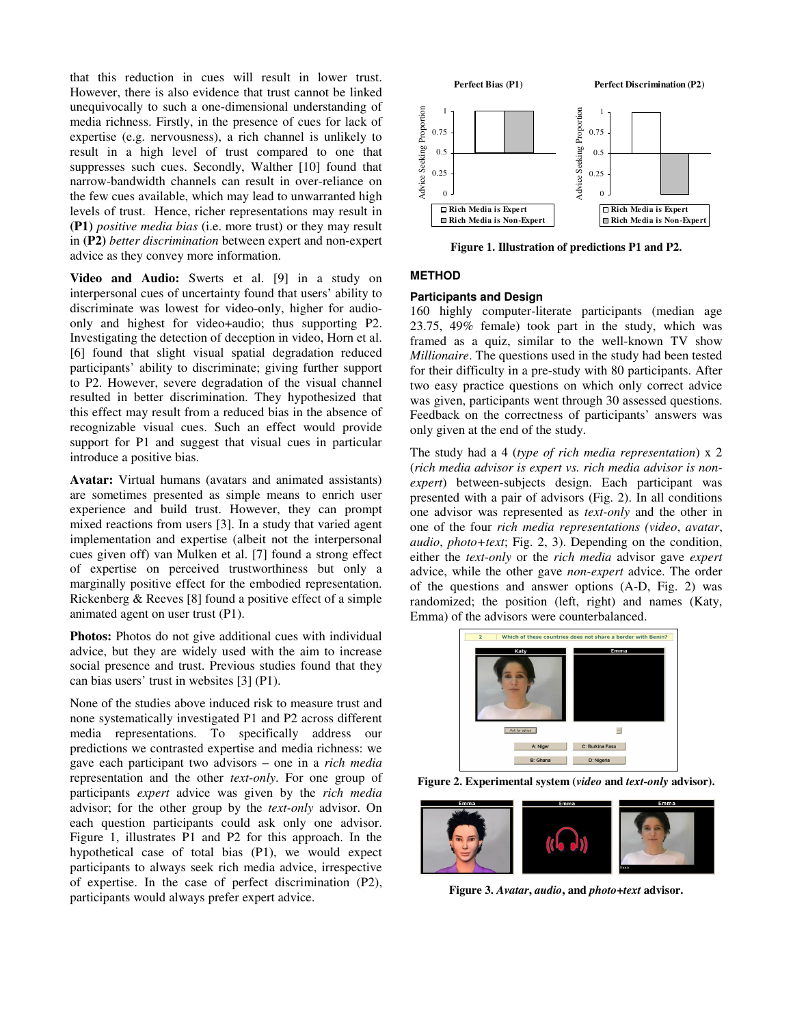that this reduction in cues will result in lower trust. However, there is also evidence that trust cannot be linked unequivocally to such a one-dimensional understanding of media richness. Firstly, in the presence of cues for lack of expertise (e.g. nervousness), a rich channel is unlikely to result in a high level of trust compared to one that suppresses such cues. Secondly, Walther [10] found that narrow-bandwidth channels can result in over-reliance on the few cues available, which may lead to unwarranted high levels of trust. Hence, richer representations may result in **(P1)** *positive media bias* (i.e. more trust) or they may result in **(P2)** *better discrimination* between expert and non-expert advice as they convey more information.

**Video and Audio:** Swerts et al. [9] in a study on interpersonal cues of uncertainty found that users' ability to discriminate was lowest for video-only, higher for audioonly and highest for video+audio; thus supporting P2. Investigating the detection of deception in video, Horn et al. [6] found that slight visual spatial degradation reduced participants' ability to discriminate; giving further support to P2. However, severe degradation of the visual channel resulted in better discrimination. They hypothesized that this effect may result from a reduced bias in the absence of recognizable visual cues. Such an effect would provide support for P1 and suggest that visual cues in particular introduce a positive bias.

**Avatar:** Virtual humans (avatars and animated assistants) are sometimes presented as simple means to enrich user experience and build trust. However, they can prompt mixed reactions from users [3]. In a study that varied agent implementation and expertise (albeit not the interpersonal cues given off) van Mulken et al. [7] found a strong effect of expertise on perceived trustworthiness but only a marginally positive effect for the embodied representation. Rickenberg & Reeves [8] found a positive effect of a simple animated agent on user trust (P1).

**Photos:** Photos do not give additional cues with individual advice, but they are widely used with the aim to increase social presence and trust. Previous studies found that they can bias users' trust in websites [3] (P1).

None of the studies above induced risk to measure trust and none systematically investigated P1 and P2 across different media representations. To specifically address our predictions we contrasted expertise and media richness: we gave each participant two advisors – one in a *rich media* representation and the other *text-only*. For one group of participants *expert* advice was given by the *rich media* advisor; for the other group by the *text-only* advisor. On each question participants could ask only one advisor. Figure 1, illustrates P1 and P2 for this approach. In the hypothetical case of total bias (P1), we would expect participants to always seek rich media advice, irrespective of expertise. In the case of perfect discrimination (P2), participants would always prefer expert advice.



**Figure 1. Illustration of predictions P1 and P2.** 

## **METHOD**

#### **Participants and Design**

160 highly computer-literate participants (median age 23.75, 49% female) took part in the study, which was framed as a quiz, similar to the well-known TV show *Millionaire*. The questions used in the study had been tested for their difficulty in a pre-study with 80 participants. After two easy practice questions on which only correct advice was given, participants went through 30 assessed questions. Feedback on the correctness of participants' answers was only given at the end of the study.

The study had a 4 (*type of rich media representation*) x 2 (*rich media advisor is expert vs. rich media advisor is nonexpert*) between-subjects design. Each participant was presented with a pair of advisors (Fig. 2). In all conditions one advisor was represented as *text-only* and the other in one of the four *rich media representations (video*, *avatar*, *audio*, *photo+text*; Fig. 2, 3). Depending on the condition, either the *text-only* or the *rich media* advisor gave *expert* advice, while the other gave *non-expert* advice. The order of the questions and answer options (A-D, Fig. 2) was randomized; the position (left, right) and names (Katy, Emma) of the advisors were counterbalanced.



**Figure 2. Experimental system (***video* **and** *text-only* **advisor).** 



**Figure 3.** *Avatar***,** *audio***, and** *photo+text* **advisor.**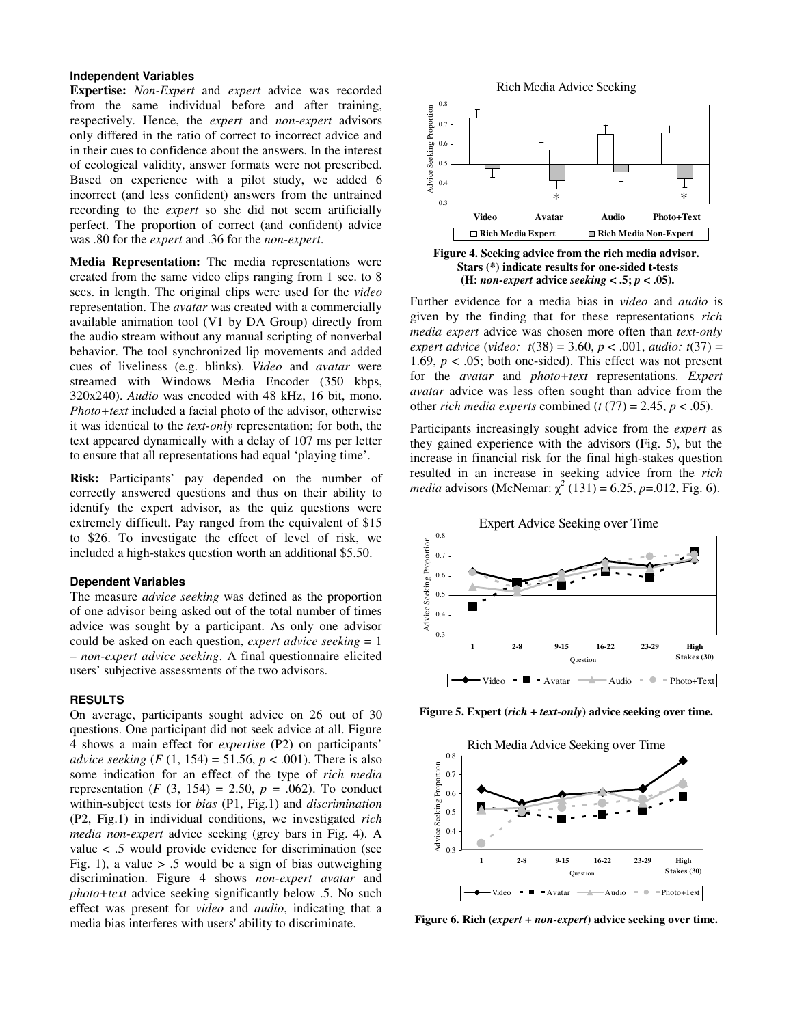### **Independent Variables**

**Expertise:** *Non-Expert* and *expert* advice was recorded from the same individual before and after training, respectively. Hence, the *expert* and *non-expert* advisors only differed in the ratio of correct to incorrect advice and in their cues to confidence about the answers. In the interest of ecological validity, answer formats were not prescribed. Based on experience with a pilot study, we added 6 incorrect (and less confident) answers from the untrained recording to the *expert* so she did not seem artificially perfect. The proportion of correct (and confident) advice was .80 for the *expert* and .36 for the *non-expert*.

**Media Representation:** The media representations were created from the same video clips ranging from 1 sec. to 8 secs. in length. The original clips were used for the *video* representation. The *avatar* was created with a commercially available animation tool (V1 by DA Group) directly from the audio stream without any manual scripting of nonverbal behavior. The tool synchronized lip movements and added cues of liveliness (e.g. blinks). *Video* and *avatar* were streamed with Windows Media Encoder (350 kbps, 320x240). *Audio* was encoded with 48 kHz, 16 bit, mono. *Photo+text* included a facial photo of the advisor, otherwise it was identical to the *text-only* representation; for both, the text appeared dynamically with a delay of 107 ms per letter to ensure that all representations had equal 'playing time'.

**Risk:** Participants' pay depended on the number of correctly answered questions and thus on their ability to identify the expert advisor, as the quiz questions were extremely difficult. Pay ranged from the equivalent of \$15 to \$26. To investigate the effect of level of risk, we included a high-stakes question worth an additional \$5.50.

#### **Dependent Variables**

The measure *advice seeking* was defined as the proportion of one advisor being asked out of the total number of times advice was sought by a participant. As only one advisor could be asked on each question, *expert advice seeking* = 1 – *non-expert advice seeking*. A final questionnaire elicited users' subjective assessments of the two advisors.

#### **RESULTS**

On average, participants sought advice on 26 out of 30 questions. One participant did not seek advice at all. Figure 4 shows a main effect for *expertise* (P2) on participants' *advice seeking*  $(F (1, 154) = 51.56, p < .001)$ . There is also some indication for an effect of the type of *rich media* representation (*F* (3, 154) = 2.50,  $p = .062$ ). To conduct within-subject tests for *bias* (P1, Fig.1) and *discrimination* (P2, Fig.1) in individual conditions, we investigated *rich media non-expert* advice seeking (grey bars in Fig. 4). A value < .5 would provide evidence for discrimination (see Fig. 1), a value  $> 0.5$  would be a sign of bias outweighing discrimination. Figure 4 shows *non-expert avatar* and *photo+text* advice seeking significantly below .5. No such effect was present for *video* and *audio*, indicating that a media bias interferes with users' ability to discriminate.







Further evidence for a media bias in *video* and *audio* is given by the finding that for these representations *rich media expert* advice was chosen more often than *text-only expert advice* (*video: t*(38) = 3.60, *p* < .001, *audio: t*(37) = 1.69,  $p < .05$ ; both one-sided). This effect was not present for the *avatar* and *photo+text* representations. *Expert avatar* advice was less often sought than advice from the other *rich media experts* combined ( $t$  (77) = 2.45,  $p$  < .05).

Participants increasingly sought advice from the *expert* as they gained experience with the advisors (Fig. 5), but the increase in financial risk for the final high-stakes question resulted in an increase in seeking advice from the *rich media* advisors (McNemar:  $\chi^2$  (131) = 6.25, *p*=.012, Fig. 6).



**Figure 5. Expert (***rich* **+** *text-only***) advice seeking over time.** 



**Figure 6. Rich (***expert* **+** *non-expert***) advice seeking over time.**